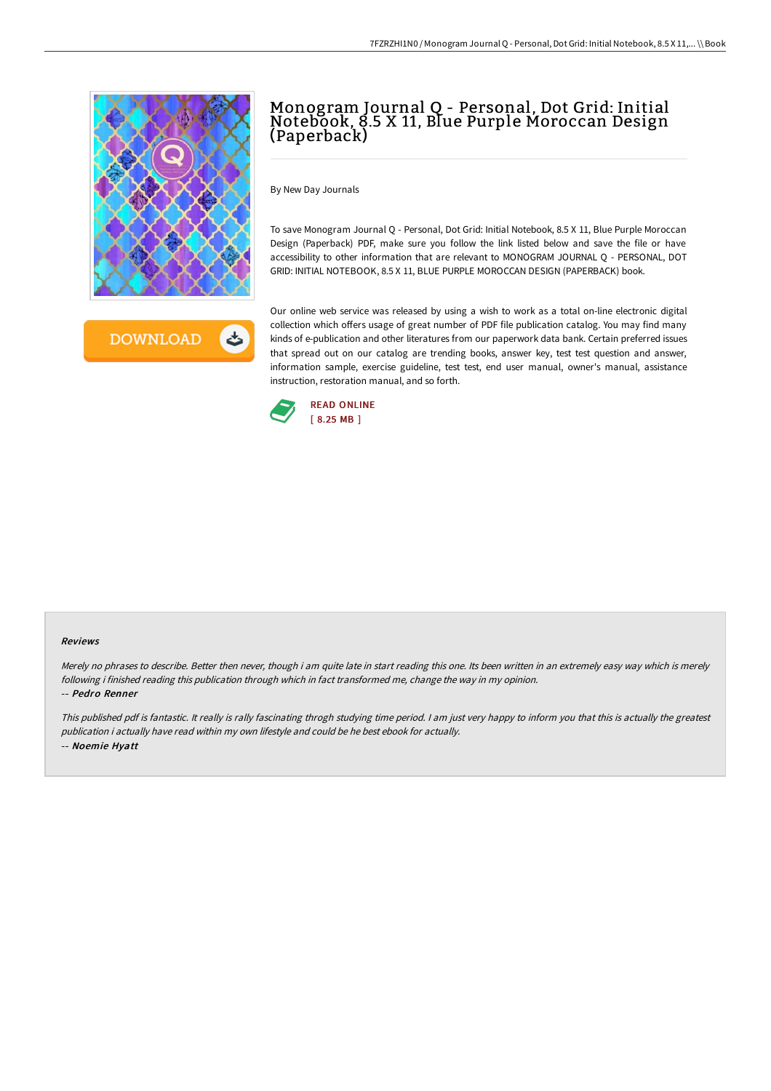



# Monogram Journal Q - Personal, Dot Grid: Initial Notebook, 8.5 X 11, Blue Purple Moroccan Design (Paperback)

By New Day Journals

To save Monogram Journal Q - Personal, Dot Grid: Initial Notebook, 8.5 X 11, Blue Purple Moroccan Design (Paperback) PDF, make sure you follow the link listed below and save the file or have accessibility to other information that are relevant to MONOGRAM JOURNAL Q - PERSONAL, DOT GRID: INITIAL NOTEBOOK, 8.5 X 11, BLUE PURPLE MOROCCAN DESIGN (PAPERBACK) book.

Our online web service was released by using a wish to work as a total on-line electronic digital collection which offers usage of great number of PDF file publication catalog. You may find many kinds of e-publication and other literatures from our paperwork data bank. Certain preferred issues that spread out on our catalog are trending books, answer key, test test question and answer, information sample, exercise guideline, test test, end user manual, owner's manual, assistance instruction, restoration manual, and so forth.



#### Reviews

Merely no phrases to describe. Better then never, though i am quite late in start reading this one. Its been written in an extremely easy way which is merely following i finished reading this publication through which in fact transformed me, change the way in my opinion.

-- Pedro Renner

This published pdf is fantastic. It really is rally fascinating throgh studying time period. <sup>I</sup> am just very happy to inform you that this is actually the greatest publication i actually have read within my own lifestyle and could be he best ebook for actually. -- Noemie Hyatt